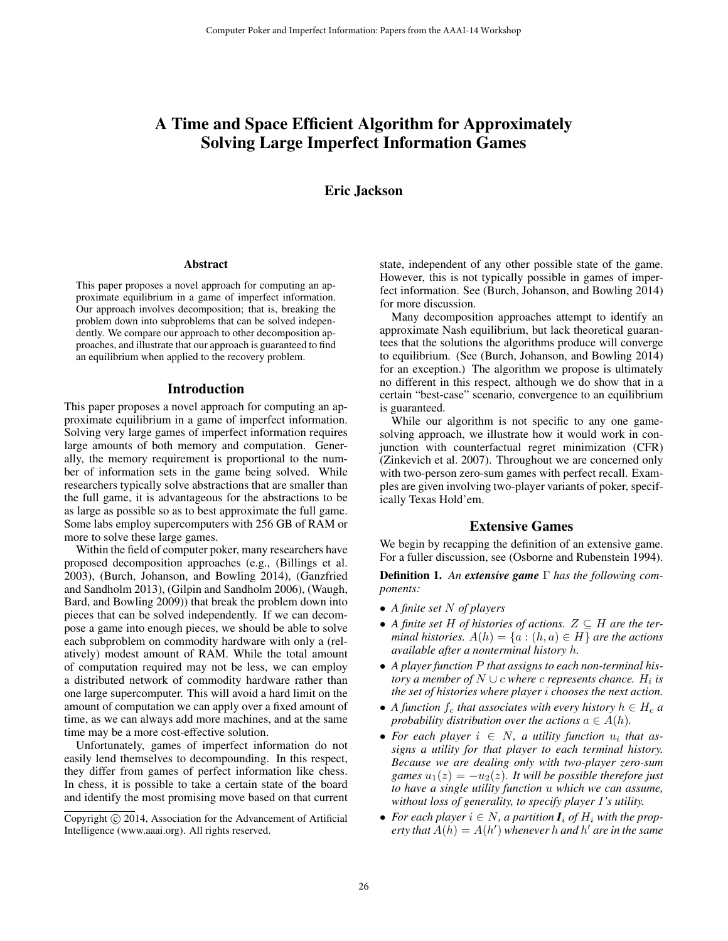# A Time and Space Efficient Algorithm for Approximately Solving Large Imperfect Information Games

# Eric Jackson

#### Abstract

This paper proposes a novel approach for computing an approximate equilibrium in a game of imperfect information. Our approach involves decomposition; that is, breaking the problem down into subproblems that can be solved independently. We compare our approach to other decomposition approaches, and illustrate that our approach is guaranteed to find an equilibrium when applied to the recovery problem.

### Introduction

This paper proposes a novel approach for computing an approximate equilibrium in a game of imperfect information. Solving very large games of imperfect information requires large amounts of both memory and computation. Generally, the memory requirement is proportional to the number of information sets in the game being solved. While researchers typically solve abstractions that are smaller than the full game, it is advantageous for the abstractions to be as large as possible so as to best approximate the full game. Some labs employ supercomputers with 256 GB of RAM or more to solve these large games.

Within the field of computer poker, many researchers have proposed decomposition approaches (e.g., (Billings et al. 2003), (Burch, Johanson, and Bowling 2014), (Ganzfried and Sandholm 2013), (Gilpin and Sandholm 2006), (Waugh, Bard, and Bowling 2009)) that break the problem down into pieces that can be solved independently. If we can decompose a game into enough pieces, we should be able to solve each subproblem on commodity hardware with only a (relatively) modest amount of RAM. While the total amount of computation required may not be less, we can employ a distributed network of commodity hardware rather than one large supercomputer. This will avoid a hard limit on the amount of computation we can apply over a fixed amount of time, as we can always add more machines, and at the same time may be a more cost-effective solution.

Unfortunately, games of imperfect information do not easily lend themselves to decompounding. In this respect, they differ from games of perfect information like chess. In chess, it is possible to take a certain state of the board and identify the most promising move based on that current

state, independent of any other possible state of the game. However, this is not typically possible in games of imperfect information. See (Burch, Johanson, and Bowling 2014) for more discussion.

Many decomposition approaches attempt to identify an approximate Nash equilibrium, but lack theoretical guarantees that the solutions the algorithms produce will converge to equilibrium. (See (Burch, Johanson, and Bowling 2014) for an exception.) The algorithm we propose is ultimately no different in this respect, although we do show that in a certain "best-case" scenario, convergence to an equilibrium is guaranteed.

While our algorithm is not specific to any one gamesolving approach, we illustrate how it would work in conjunction with counterfactual regret minimization (CFR) (Zinkevich et al. 2007). Throughout we are concerned only with two-person zero-sum games with perfect recall. Examples are given involving two-player variants of poker, specifically Texas Hold'em.

### Extensive Games

We begin by recapping the definition of an extensive game. For a fuller discussion, see (Osborne and Rubenstein 1994).

Definition 1. *An extensive game* Γ *has the following components:*

- *A finite set* N *of players*
- A finite set H of histories of actions.  $Z \subseteq H$  are the ter*minal histories.*  $A(h) = \{a : (h, a) \in H\}$  *are the actions available after a nonterminal history* h*.*
- *A player function* P *that assigns to each non-terminal his* $t$ ory a member of  $N \cup c$  where  $c$  represents chance.  $H_i$  is *the set of histories where player* i *chooses the next action.*
- A function  $f_c$  that associates with every history  $h \in H_c$  a *probability distribution over the actions*  $a \in A(h)$ .
- For each player  $i \in N$ , a utility function  $u_i$  that as*signs a utility for that player to each terminal history. Because we are dealing only with two-player zero-sum games*  $u_1(z) = -u_2(z)$ *. It will be possible therefore just to have a single utility function* u *which we can assume, without loss of generality, to specify player 1's utility.*
- For each player  $i \in N$ , a partition  $I_i$  of  $H_i$  with the prop*erty that*  $\hat{A}(h) = A(h')$  whenever h and h' are in the same

Copyright © 2014, Association for the Advancement of Artificial Intelligence (www.aaai.org). All rights reserved.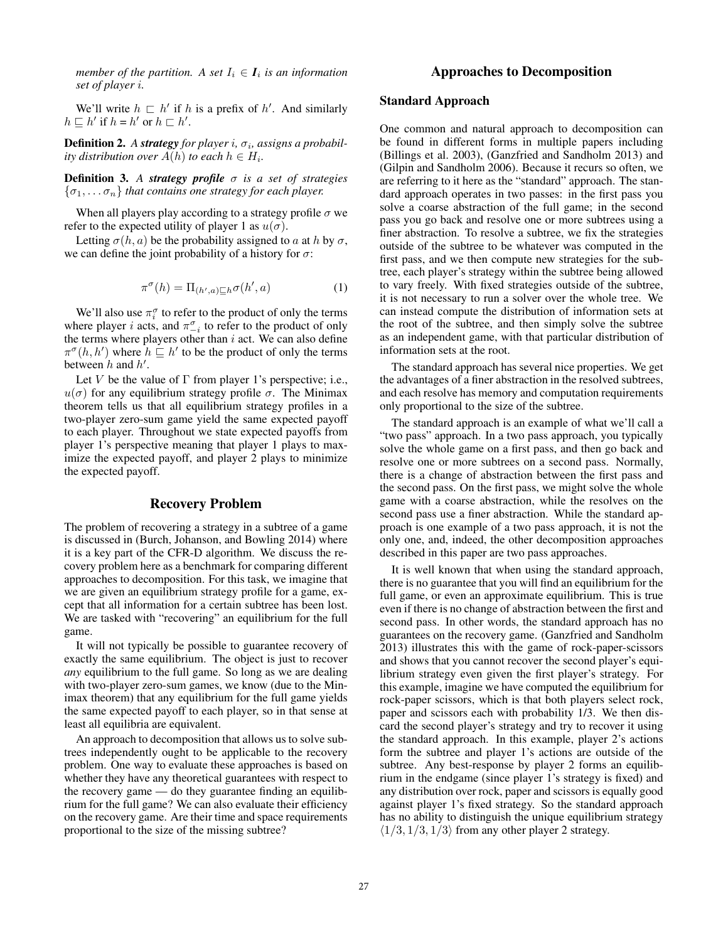*member of the partition.* A set  $I_i \in I_i$  is an information *set of player* i*.*

We'll write  $h \sqsubset h'$  if h is a prefix of h'. And similarly  $h \sqsubseteq h'$  if  $h = h'$  or  $h \sqsubset h'$ .

**Definition 2.** A strategy for player i,  $\sigma_i$ , assigns a probabil*ity distribution over*  $A(h)$  *to each*  $h \in H_i$ *.* 

Definition 3. *A strategy profile* σ *is a set of strategies*  ${\sigma_1, \ldots, \sigma_n}$  *that contains one strategy for each player.* 

When all players play according to a strategy profile  $\sigma$  we refer to the expected utility of player 1 as  $u(\sigma)$ .

Letting  $\sigma(h, a)$  be the probability assigned to a at h by  $\sigma$ , we can define the joint probability of a history for  $\sigma$ :

$$
\pi^{\sigma}(h) = \Pi_{(h',a)\sqsubseteq h}\sigma(h',a)
$$
 (1)

We'll also use  $\pi_i^{\sigma}$  to refer to the product of only the terms where player *i* acts, and  $\pi_{-i}^{\sigma}$  to refer to the product of only the terms where players other than  $i$  act. We can also define  $\pi^{\sigma}(h, h')$  where  $h \subseteq h'$  to be the product of only the terms between  $h$  and  $h'$ .

Let V be the value of  $\Gamma$  from player 1's perspective; i.e.,  $u(\sigma)$  for any equilibrium strategy profile  $\sigma$ . The Minimax theorem tells us that all equilibrium strategy profiles in a two-player zero-sum game yield the same expected payoff to each player. Throughout we state expected payoffs from player 1's perspective meaning that player 1 plays to maximize the expected payoff, and player 2 plays to minimize the expected payoff.

### Recovery Problem

The problem of recovering a strategy in a subtree of a game is discussed in (Burch, Johanson, and Bowling 2014) where it is a key part of the CFR-D algorithm. We discuss the recovery problem here as a benchmark for comparing different approaches to decomposition. For this task, we imagine that we are given an equilibrium strategy profile for a game, except that all information for a certain subtree has been lost. We are tasked with "recovering" an equilibrium for the full game.

It will not typically be possible to guarantee recovery of exactly the same equilibrium. The object is just to recover *any* equilibrium to the full game. So long as we are dealing with two-player zero-sum games, we know (due to the Minimax theorem) that any equilibrium for the full game yields the same expected payoff to each player, so in that sense at least all equilibria are equivalent.

An approach to decomposition that allows us to solve subtrees independently ought to be applicable to the recovery problem. One way to evaluate these approaches is based on whether they have any theoretical guarantees with respect to the recovery game — do they guarantee finding an equilibrium for the full game? We can also evaluate their efficiency on the recovery game. Are their time and space requirements proportional to the size of the missing subtree?

# Approaches to Decomposition

### Standard Approach

One common and natural approach to decomposition can be found in different forms in multiple papers including (Billings et al. 2003), (Ganzfried and Sandholm 2013) and (Gilpin and Sandholm 2006). Because it recurs so often, we are referring to it here as the "standard" approach. The standard approach operates in two passes: in the first pass you solve a coarse abstraction of the full game; in the second pass you go back and resolve one or more subtrees using a finer abstraction. To resolve a subtree, we fix the strategies outside of the subtree to be whatever was computed in the first pass, and we then compute new strategies for the subtree, each player's strategy within the subtree being allowed to vary freely. With fixed strategies outside of the subtree, it is not necessary to run a solver over the whole tree. We can instead compute the distribution of information sets at the root of the subtree, and then simply solve the subtree as an independent game, with that particular distribution of information sets at the root.

The standard approach has several nice properties. We get the advantages of a finer abstraction in the resolved subtrees, and each resolve has memory and computation requirements only proportional to the size of the subtree.

The standard approach is an example of what we'll call a "two pass" approach. In a two pass approach, you typically solve the whole game on a first pass, and then go back and resolve one or more subtrees on a second pass. Normally, there is a change of abstraction between the first pass and the second pass. On the first pass, we might solve the whole game with a coarse abstraction, while the resolves on the second pass use a finer abstraction. While the standard approach is one example of a two pass approach, it is not the only one, and, indeed, the other decomposition approaches described in this paper are two pass approaches.

It is well known that when using the standard approach, there is no guarantee that you will find an equilibrium for the full game, or even an approximate equilibrium. This is true even if there is no change of abstraction between the first and second pass. In other words, the standard approach has no guarantees on the recovery game. (Ganzfried and Sandholm 2013) illustrates this with the game of rock-paper-scissors and shows that you cannot recover the second player's equilibrium strategy even given the first player's strategy. For this example, imagine we have computed the equilibrium for rock-paper scissors, which is that both players select rock, paper and scissors each with probability 1/3. We then discard the second player's strategy and try to recover it using the standard approach. In this example, player 2's actions form the subtree and player 1's actions are outside of the subtree. Any best-response by player 2 forms an equilibrium in the endgame (since player 1's strategy is fixed) and any distribution over rock, paper and scissors is equally good against player 1's fixed strategy. So the standard approach has no ability to distinguish the unique equilibrium strategy  $\langle 1/3, 1/3, 1/3 \rangle$  from any other player 2 strategy.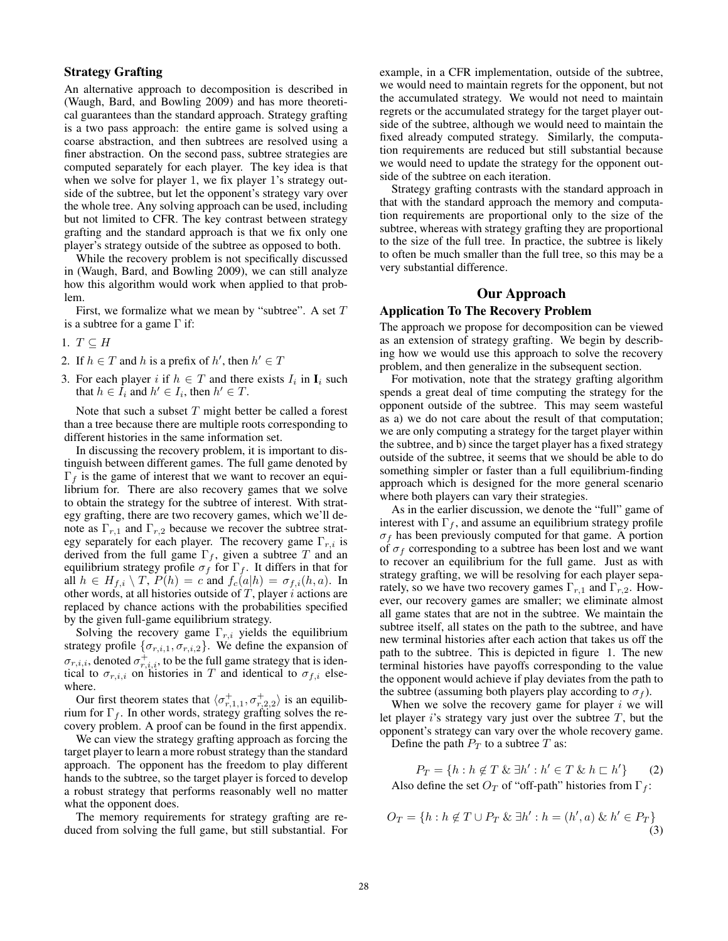# Strategy Grafting

An alternative approach to decomposition is described in (Waugh, Bard, and Bowling 2009) and has more theoretical guarantees than the standard approach. Strategy grafting is a two pass approach: the entire game is solved using a coarse abstraction, and then subtrees are resolved using a finer abstraction. On the second pass, subtree strategies are computed separately for each player. The key idea is that when we solve for player 1, we fix player 1's strategy outside of the subtree, but let the opponent's strategy vary over the whole tree. Any solving approach can be used, including but not limited to CFR. The key contrast between strategy grafting and the standard approach is that we fix only one player's strategy outside of the subtree as opposed to both.

While the recovery problem is not specifically discussed in (Waugh, Bard, and Bowling 2009), we can still analyze how this algorithm would work when applied to that problem.

First, we formalize what we mean by "subtree". A set  $T$ is a subtree for a game  $\Gamma$  if:

- 1.  $T \subseteq H$
- 2. If  $h \in T$  and h is a prefix of h', then  $h' \in T$
- 3. For each player i if  $h \in T$  and there exists  $I_i$  in  $I_i$  such that  $h \in I_i$  and  $h' \in I_i$ , then  $h' \in T$ .

Note that such a subset  $T$  might better be called a forest than a tree because there are multiple roots corresponding to different histories in the same information set.

In discussing the recovery problem, it is important to distinguish between different games. The full game denoted by  $\Gamma_f$  is the game of interest that we want to recover an equilibrium for. There are also recovery games that we solve to obtain the strategy for the subtree of interest. With strategy grafting, there are two recovery games, which we'll denote as  $\Gamma_{r,1}$  and  $\Gamma_{r,2}$  because we recover the subtree strategy separately for each player. The recovery game  $\Gamma_{r,i}$  is derived from the full game  $\Gamma_f$ , given a subtree T and an equilibrium strategy profile  $\sigma_f$  for  $\Gamma_f$ . It differs in that for all  $h \in H_{f,i} \setminus T$ ,  $P(h) = c$  and  $f_c(a|h) = \sigma_{f,i}(h, a)$ . In other words, at all histories outside of  $T$ , player  $i$  actions are replaced by chance actions with the probabilities specified by the given full-game equilibrium strategy.

Solving the recovery game  $\Gamma_{r,i}$  yields the equilibrium strategy profile  $\{\sigma_{r,i,1}, \sigma_{r,i,2}\}$ . We define the expansion of  $\sigma_{r,i,i}$ , denoted  $\sigma_{r,i,i}^+$ , to be the full game strategy that is identical to  $\sigma_{r,i,i}$  on histories in T and identical to  $\sigma_{f,i}$  elsewhere.

Our first theorem states that  $\langle \sigma_{r,1,1}^+, \sigma_{r,2,2}^+ \rangle$  is an equilibrium for  $\Gamma_f$ . In other words, strategy grafting solves the recovery problem. A proof can be found in the first appendix.

We can view the strategy grafting approach as forcing the target player to learn a more robust strategy than the standard approach. The opponent has the freedom to play different hands to the subtree, so the target player is forced to develop a robust strategy that performs reasonably well no matter what the opponent does.

The memory requirements for strategy grafting are reduced from solving the full game, but still substantial. For

example, in a CFR implementation, outside of the subtree, we would need to maintain regrets for the opponent, but not the accumulated strategy. We would not need to maintain regrets or the accumulated strategy for the target player outside of the subtree, although we would need to maintain the fixed already computed strategy. Similarly, the computation requirements are reduced but still substantial because we would need to update the strategy for the opponent outside of the subtree on each iteration.

Strategy grafting contrasts with the standard approach in that with the standard approach the memory and computation requirements are proportional only to the size of the subtree, whereas with strategy grafting they are proportional to the size of the full tree. In practice, the subtree is likely to often be much smaller than the full tree, so this may be a very substantial difference.

# Our Approach

#### Application To The Recovery Problem

The approach we propose for decomposition can be viewed as an extension of strategy grafting. We begin by describing how we would use this approach to solve the recovery problem, and then generalize in the subsequent section.

For motivation, note that the strategy grafting algorithm spends a great deal of time computing the strategy for the opponent outside of the subtree. This may seem wasteful as a) we do not care about the result of that computation; we are only computing a strategy for the target player within the subtree, and b) since the target player has a fixed strategy outside of the subtree, it seems that we should be able to do something simpler or faster than a full equilibrium-finding approach which is designed for the more general scenario where both players can vary their strategies.

As in the earlier discussion, we denote the "full" game of interest with  $\Gamma_f$ , and assume an equilibrium strategy profile  $\sigma_f$  has been previously computed for that game. A portion of  $\sigma_f$  corresponding to a subtree has been lost and we want to recover an equilibrium for the full game. Just as with strategy grafting, we will be resolving for each player separately, so we have two recovery games  $\Gamma_{r,1}$  and  $\Gamma_{r,2}$ . However, our recovery games are smaller; we eliminate almost all game states that are not in the subtree. We maintain the subtree itself, all states on the path to the subtree, and have new terminal histories after each action that takes us off the path to the subtree. This is depicted in figure 1. The new terminal histories have payoffs corresponding to the value the opponent would achieve if play deviates from the path to the subtree (assuming both players play according to  $\sigma_f$ ).

When we solve the recovery game for player  $i$  we will let player  $i$ 's strategy vary just over the subtree  $T$ , but the opponent's strategy can vary over the whole recovery game. Define the path  $P_T$  to a subtree T as:

 $P_T = \{h : h \notin T \& \exists h' : h' \in T \& h \sqsubset h'\}$  $(2)$ 

Also define the set  $O_T$  of "off-path" histories from  $\Gamma_f$ :

$$
O_T = \{ h : h \notin T \cup P_T \& \exists h' : h = (h', a) \& h' \in P_T \}
$$
\n(3)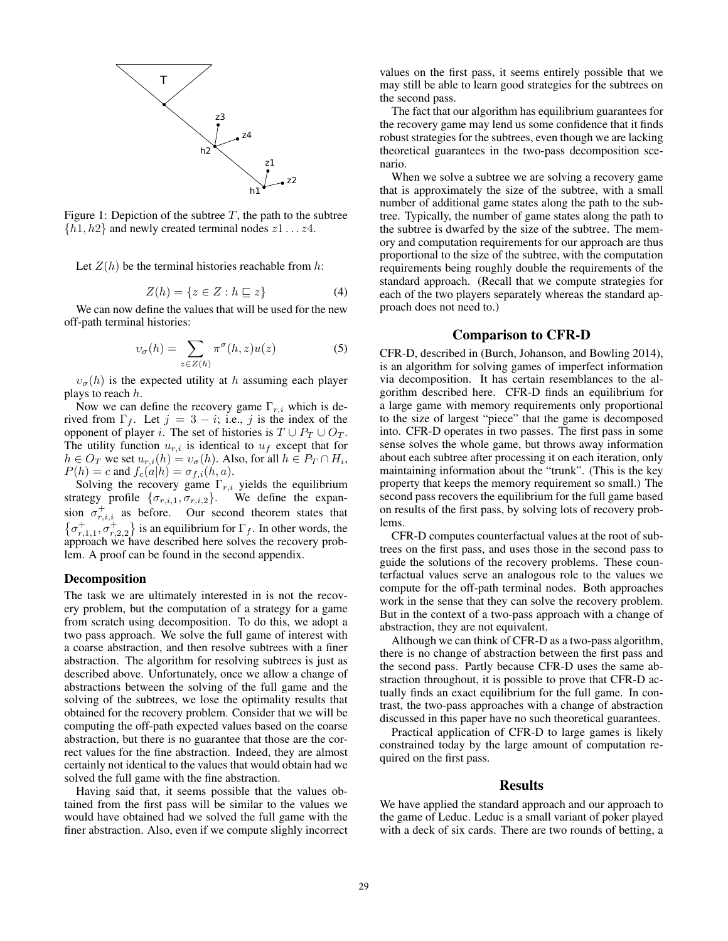

Figure 1: Depiction of the subtree  $T$ , the path to the subtree  $\{h1, h2\}$  and newly created terminal nodes  $z1 \dots z4$ .

Let  $Z(h)$  be the terminal histories reachable from h:

$$
Z(h) = \{ z \in Z : h \sqsubseteq z \}
$$
 (4)

We can now define the values that will be used for the new off-path terminal histories:

$$
v_{\sigma}(h) = \sum_{z \in Z(h)} \pi^{\sigma}(h, z) u(z)
$$
 (5)

 $v_{\sigma}(h)$  is the expected utility at h assuming each player plays to reach  $h$ .

Now we can define the recovery game  $\Gamma_{r,i}$  which is derived from  $\Gamma_f$ . Let  $j = 3 - i$ ; i.e., j is the index of the opponent of player *i*. The set of histories is  $T \cup P_T \cup O_T$ . The utility function  $u_{r,i}$  is identical to  $u_f$  except that for  $h \in O_T$  we set  $u_{r,i}(h) = v_\sigma(h)$ . Also, for all  $h \in P_T \cap H_i$ ,  $P(h) = c$  and  $f_c(a|h) = \sigma_{f,i}(h, a)$ .

Solving the recovery game  $\Gamma_{r,i}$  yields the equilibrium strategy profile  $\{\sigma_{r,i,1}, \sigma_{r,i,2}\}$ . We define the expansion  $\sigma_{r,i,i}^+$  as before. Our second theorem states that  $\{\sigma_{r,1,1}^+, \sigma_{r,2,2}^+\}$  is an equilibrium for  $\Gamma_f$ . In other words, the approach we have described here solves the recovery problem. A proof can be found in the second appendix.

### Decomposition

The task we are ultimately interested in is not the recovery problem, but the computation of a strategy for a game from scratch using decomposition. To do this, we adopt a two pass approach. We solve the full game of interest with a coarse abstraction, and then resolve subtrees with a finer abstraction. The algorithm for resolving subtrees is just as described above. Unfortunately, once we allow a change of abstractions between the solving of the full game and the solving of the subtrees, we lose the optimality results that obtained for the recovery problem. Consider that we will be computing the off-path expected values based on the coarse abstraction, but there is no guarantee that those are the correct values for the fine abstraction. Indeed, they are almost certainly not identical to the values that would obtain had we solved the full game with the fine abstraction.

Having said that, it seems possible that the values obtained from the first pass will be similar to the values we would have obtained had we solved the full game with the finer abstraction. Also, even if we compute slighly incorrect

values on the first pass, it seems entirely possible that we may still be able to learn good strategies for the subtrees on the second pass.

The fact that our algorithm has equilibrium guarantees for the recovery game may lend us some confidence that it finds robust strategies for the subtrees, even though we are lacking theoretical guarantees in the two-pass decomposition scenario.

When we solve a subtree we are solving a recovery game that is approximately the size of the subtree, with a small number of additional game states along the path to the subtree. Typically, the number of game states along the path to the subtree is dwarfed by the size of the subtree. The memory and computation requirements for our approach are thus proportional to the size of the subtree, with the computation requirements being roughly double the requirements of the standard approach. (Recall that we compute strategies for each of the two players separately whereas the standard approach does not need to.)

# Comparison to CFR-D

CFR-D, described in (Burch, Johanson, and Bowling 2014), is an algorithm for solving games of imperfect information via decomposition. It has certain resemblances to the algorithm described here. CFR-D finds an equilibrium for a large game with memory requirements only proportional to the size of largest "piece" that the game is decomposed into. CFR-D operates in two passes. The first pass in some sense solves the whole game, but throws away information about each subtree after processing it on each iteration, only maintaining information about the "trunk". (This is the key property that keeps the memory requirement so small.) The second pass recovers the equilibrium for the full game based on results of the first pass, by solving lots of recovery problems.

CFR-D computes counterfactual values at the root of subtrees on the first pass, and uses those in the second pass to guide the solutions of the recovery problems. These counterfactual values serve an analogous role to the values we compute for the off-path terminal nodes. Both approaches work in the sense that they can solve the recovery problem. But in the context of a two-pass approach with a change of abstraction, they are not equivalent.

Although we can think of CFR-D as a two-pass algorithm, there is no change of abstraction between the first pass and the second pass. Partly because CFR-D uses the same abstraction throughout, it is possible to prove that CFR-D actually finds an exact equilibrium for the full game. In contrast, the two-pass approaches with a change of abstraction discussed in this paper have no such theoretical guarantees.

Practical application of CFR-D to large games is likely constrained today by the large amount of computation required on the first pass.

# Results

We have applied the standard approach and our approach to the game of Leduc. Leduc is a small variant of poker played with a deck of six cards. There are two rounds of betting, a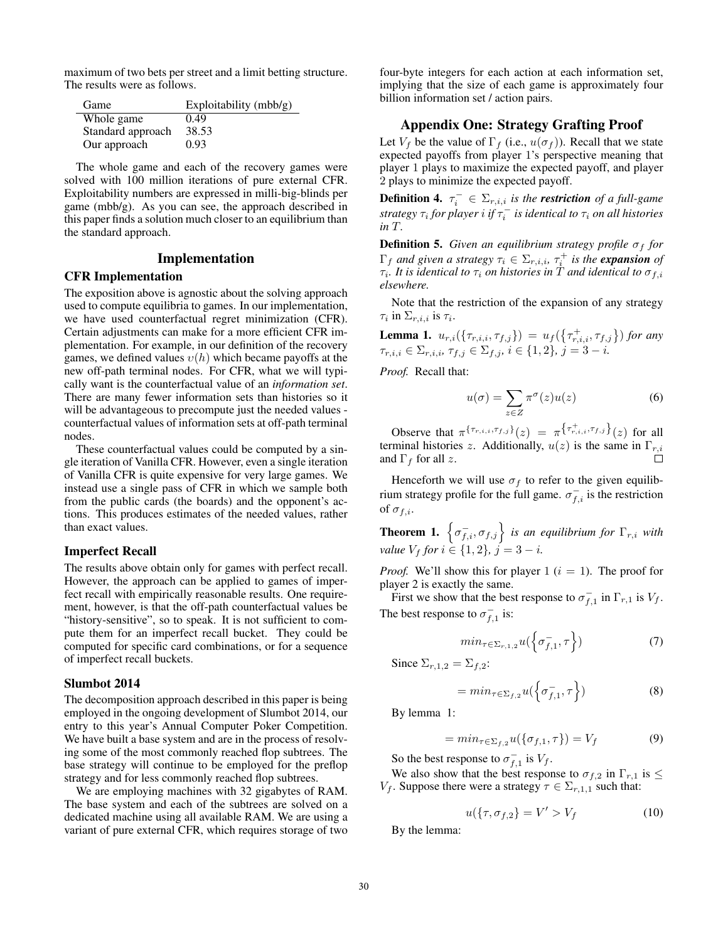maximum of two bets per street and a limit betting structure. The results were as follows.

| Game              | Exploitability $(mbb/g)$ |
|-------------------|--------------------------|
| Whole game        | 0.49                     |
| Standard approach | 38.53                    |
| Our approach      | 0.93                     |

The whole game and each of the recovery games were solved with 100 million iterations of pure external CFR. Exploitability numbers are expressed in milli-big-blinds per game (mbb/g). As you can see, the approach described in this paper finds a solution much closer to an equilibrium than the standard approach.

### Implementation

# CFR Implementation

The exposition above is agnostic about the solving approach used to compute equilibria to games. In our implementation, we have used counterfactual regret minimization (CFR). Certain adjustments can make for a more efficient CFR implementation. For example, in our definition of the recovery games, we defined values  $v(h)$  which became payoffs at the new off-path terminal nodes. For CFR, what we will typically want is the counterfactual value of an *information set*. There are many fewer information sets than histories so it will be advantageous to precompute just the needed values counterfactual values of information sets at off-path terminal nodes.

These counterfactual values could be computed by a single iteration of Vanilla CFR. However, even a single iteration of Vanilla CFR is quite expensive for very large games. We instead use a single pass of CFR in which we sample both from the public cards (the boards) and the opponent's actions. This produces estimates of the needed values, rather than exact values.

### Imperfect Recall

The results above obtain only for games with perfect recall. However, the approach can be applied to games of imperfect recall with empirically reasonable results. One requirement, however, is that the off-path counterfactual values be "history-sensitive", so to speak. It is not sufficient to compute them for an imperfect recall bucket. They could be computed for specific card combinations, or for a sequence of imperfect recall buckets.

#### Slumbot 2014

The decomposition approach described in this paper is being employed in the ongoing development of Slumbot 2014, our entry to this year's Annual Computer Poker Competition. We have built a base system and are in the process of resolving some of the most commonly reached flop subtrees. The base strategy will continue to be employed for the preflop strategy and for less commonly reached flop subtrees.

We are employing machines with 32 gigabytes of RAM. The base system and each of the subtrees are solved on a dedicated machine using all available RAM. We are using a variant of pure external CFR, which requires storage of two

four-byte integers for each action at each information set, implying that the size of each game is approximately four billion information set / action pairs.

## Appendix One: Strategy Grafting Proof

Let  $V_f$  be the value of  $\Gamma_f$  (i.e.,  $u(\sigma_f)$ ). Recall that we state expected payoffs from player 1's perspective meaning that player 1 plays to maximize the expected payoff, and player 2 plays to minimize the expected payoff.

**Definition 4.**  $\tau_i^-\in \Sigma_{r,i,i}$  is the **restriction** of a full-game  $s$ trategy  $\tau_i$  for player  $i$  if  $\tau_i^-$  is identical to  $\tau_i$  on all histories *in* T*.*

**Definition 5.** *Given an equilibrium strategy profile*  $\sigma_f$  *for*  $\Gamma_f$  and given a strategy  $\tau_i \in \Sigma_{r,i,i}$ ,  $\tau_i^+$  is the **expansion** of  $\tau_i$ . It is identical to  $\tau_i$  *on histories in* T and identical to  $\sigma_{f,i}$ *elsewhere.*

Note that the restriction of the expansion of any strategy  $\tau_i$  in  $\Sigma_{r,i,i}$  is  $\tau_i$ .

**Lemma 1.**  $u_{r,i}(\{\tau_{r,i,i}, \tau_{f,j}\}) = u_f(\{\tau_{r,i,i}^+, \tau_{f,j}\})$  for any  $\tau_{r,i,i} \in \Sigma_{r,i,i}, \tau_{f,j} \in \Sigma_{f,j}, i \in \{1,2\}, j = 3 - i.$ 

*Proof.* Recall that:

$$
u(\sigma) = \sum_{z \in Z} \pi^{\sigma}(z) u(z)
$$
 (6)

Observe that  $\pi^{\{\tau_{r,i,i},\tau_{f,j}\}}(z) = \pi^{\{\tau_{r,i,i}^+, \tau_{f,j}\}}(z)$  for all terminal histories z. Additionally,  $u(z)$  is the same in  $\Gamma_{r,i}$ and  $\Gamma_f$  for all z. П

Henceforth we will use  $\sigma_f$  to refer to the given equilibrium strategy profile for the full game.  $\sigma_{f,i}^-$  is the restriction of  $\sigma_{f,i}$ .

**Theorem 1.**  $\left\{\sigma_{f,i}^{-}, \sigma_{f,j}\right\}$  is an equilibrium for  $\Gamma_{r,i}$  with *value*  $V_f$  *for*  $i \in \{1, 2\}$ *,*  $j = 3 - i$ *.* 

*Proof.* We'll show this for player 1 ( $i = 1$ ). The proof for player 2 is exactly the same.

First we show that the best response to  $\sigma_{f,1}^-$  in  $\Gamma_{r,1}$  is  $V_f$ . The best response to  $\sigma_{f,1}^-$  is:

$$
min_{\tau \in \Sigma_{r,1,2}} u(\left\{\sigma_{f,1}^{-}, \tau\right\}) \tag{7}
$$

Since  $\Sigma_{r,1,2} = \Sigma_{f,2}$ :

$$
= min_{\tau \in \Sigma_{f,2}} u(\left\{\sigma_{f,1}^{-}, \tau\right\})
$$
\n(8)

By lemma 1:

$$
= min_{\tau \in \Sigma_{f,2}} u(\{\sigma_{f,1}, \tau\}) = V_f \tag{9}
$$

So the best response to  $\sigma_{f,1}^-$  is  $V_f$ .

We also show that the best response to  $\sigma_{f,2}$  in  $\Gamma_{r,1}$  is  $\leq$  $V_f$ . Suppose there were a strategy  $\tau \in \Sigma_{r,1,1}$  such that:

$$
u(\{\tau, \sigma_{f,2}\} = V' > V_f \tag{10}
$$

By the lemma: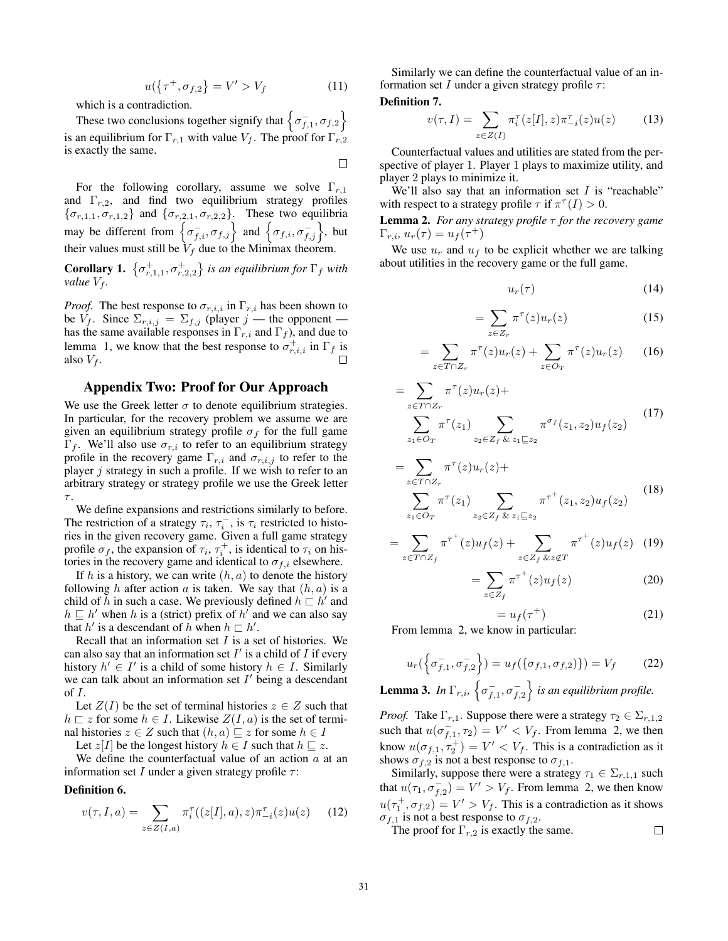$$
u(\{\tau^+, \sigma_{f,2}\} = V' > V_f \tag{11}
$$

which is a contradiction.

These two conclusions together signify that  $\left\{ \sigma_{f,1}^{-}, \sigma_{f,2} \right\}$ is an equilibrium for  $\Gamma_{r,1}$  with value  $V_f$ . The proof for  $\Gamma_{r,2}$ is exactly the same.  $\Box$ 

For the following corollary, assume we solve  $\Gamma_{r,1}$ and  $\Gamma_{r,2}$ , and find two equilibrium strategy profiles  $\{\sigma_{r,1,1}, \sigma_{r,1,2}\}\$  and  $\{\sigma_{r,2,1}, \sigma_{r,2,2}\}\$ . These two equilibria may be different from  $\left\{ \sigma_{f,i}^{-}, \sigma_{f,j} \right\}$  and  $\left\{ \sigma_{f,i}, \sigma_{f,j}^{-} \right\}$ , but their values must still be  $V_f$  due to the Minimax theorem.

**Corollary 1.**  $\{\sigma_{r,1,1}^+, \sigma_{r,2,2}^+\}$  is an equilibrium for  $\Gamma_f$  with *value*  $V_f$ *.* 

*Proof.* The best response to  $\sigma_{r,i,i}$  in  $\Gamma_{r,i}$  has been shown to be  $V_f$ . Since  $\Sigma_{r,i,j} = \Sigma_{f,j}$  (player j — the opponent has the same available responses in  $\Gamma_{r,i}$  and  $\Gamma_f$ ), and due to lemma 1, we know that the best response to  $\sigma_{r,i,i}^+$  in  $\Gamma_f$  is also  $V_f$ .

### Appendix Two: Proof for Our Approach

We use the Greek letter  $\sigma$  to denote equilibrium strategies. In particular, for the recovery problem we assume we are given an equilibrium strategy profile  $\sigma_f$  for the full game  $\Gamma_f$ . We'll also use  $\sigma_{r,i}$  to refer to an equilibrium strategy profile in the recovery game  $\Gamma_{r,i}$  and  $\sigma_{r,i,j}$  to refer to the player  $j$  strategy in such a profile. If we wish to refer to an arbitrary strategy or strategy profile we use the Greek letter  $\tau$ .

We define expansions and restrictions similarly to before. The restriction of a strategy  $\tau_i$ ,  $\tau_i^-$ , is  $\tau_i$  restricted to histories in the given recovery game. Given a full game strategy profile  $\sigma_f$ , the expansion of  $\tau_i$ ,  $\tau_i^+$ , is identical to  $\tau_i$  on histories in the recovery game and identical to  $\sigma_{f,i}$  elsewhere.

If h is a history, we can write  $(h, a)$  to denote the history following h after action a is taken. We say that  $(h, a)$  is a child of  $\tilde{h}$  in such a case. We previously defined  $h \sqsubset h'$  and  $h \sqsubseteq h'$  when h is a (strict) prefix of h' and we can also say that  $h'$  is a descendant of h when  $h \sqsubset h'$ .

Recall that an information set  $I$  is a set of histories. We can also say that an information set  $I'$  is a child of  $I$  if every history  $h' \in I'$  is a child of some history  $h \in I$ . Similarly we can talk about an information set  $I'$  being a descendant of  $I$ .

Let  $Z(I)$  be the set of terminal histories  $z \in Z$  such that  $h \sqsubset z$  for some  $h \in I$ . Likewise  $Z(I, a)$  is the set of terminal histories  $z \in Z$  such that  $(h, a) \sqsubseteq z$  for some  $h \in I$ 

Let  $z[I]$  be the longest history  $h \in I$  such that  $h \sqsubseteq z$ .

We define the counterfactual value of an action  $a$  at an information set I under a given strategy profile  $\tau$ :

Definition 6.

$$
v(\tau, I, a) = \sum_{z \in Z(I, a)} \pi_i^{\tau}((z[I], a), z)\pi_{-i}^{\tau}(z)u(z) \qquad (12)
$$

Similarly we can define the counterfactual value of an information set I under a given strategy profile  $\tau$ : Definition 7.

$$
v(\tau, I) = \sum_{z \in Z(I)} \pi_i^{\tau}(z[I], z) \pi_{-i}^{\tau}(z) u(z)
$$
 (13)

Counterfactual values and utilities are stated from the perspective of player 1. Player 1 plays to maximize utility, and player 2 plays to minimize it.

We'll also say that an information set  $I$  is "reachable" with respect to a strategy profile  $\tau$  if  $\pi^{\tau}(I) > 0$ .

Lemma 2. *For any strategy profile* τ *for the recovery game*  $\Gamma_{r,i}, u_r(\tau) = u_f(\tau^+)$ 

We use  $u_r$  and  $u_f$  to be explicit whether we are talking about utilities in the recovery game or the full game.

$$
u_r(\tau) \tag{14}
$$

$$
=\sum_{z\in Z_r}\pi^{\tau}(z)u_r(z)\tag{15}
$$

$$
= \sum_{z \in T \cap Z_r} \pi^{\tau}(z) u_r(z) + \sum_{z \in O_T} \pi^{\tau}(z) u_r(z) \qquad (16)
$$

$$
= \sum_{z \in T \cap Z_r} \pi^{\tau}(z) u_r(z) + \sum_{z_1 \in O_T} \pi^{\tau}(z_1) \sum_{z_2 \in Z_f \& z_1 \sqsubseteq z_2} \pi^{\sigma_f}(z_1, z_2) u_f(z_2)
$$
 (17)

$$
= \sum_{z \in T \cap Z_r} \pi^{\tau}(z) u_r(z) + \sum_{z_1 \in O_T} \pi^{\tau}(z_1) \sum_{z_2 \in Z_f} \sum_{\& z_1 \sqsubseteq z_2} \pi^{\tau^+}(z_1, z_2) u_f(z_2)
$$
 (18)

$$
= \sum_{z \in T \cap Z_f} \pi^{\tau^+}(z) u_f(z) + \sum_{z \in Z_f} \sum_{\& z \notin T} \pi^{\tau^+}(z) u_f(z) \tag{19}
$$

$$
=\sum_{z\in Z_f}\pi^{\tau^+}(z)u_f(z)\tag{20}
$$

$$
=u_f(\tau^+)
$$
 (21)

From lemma 2, we know in particular:

$$
u_r(\left\{\sigma_{f,1}^-, \sigma_{f,2}^-\right\}) = u_f(\left\{\sigma_{f,1}, \sigma_{f,2}\right\}) = V_f \tag{22}
$$

**Lemma 3.** In  $\Gamma_{r,i}$ ,  $\left\{ \sigma_{f,1}^{-}, \sigma_{f,2}^{-} \right\}$  is an equilibrium profile.

*Proof.* Take  $\Gamma_{r,1}$ . Suppose there were a strategy  $\tau_2 \in \Sigma_{r,1,2}$ such that  $u(\sigma_{f,1}^-, \tau_2) = V' < V_f$ . From lemma 2, we then know  $u(\sigma_{f,1}, \tau_2^+) = V' < V_f$ . This is a contradiction as it shows  $\sigma_{f,2}$  is not a best response to  $\sigma_{f,1}$ .

Similarly, suppose there were a strategy  $\tau_1 \in \Sigma_{r,1,1}$  such that  $u(\tau_1, \sigma_{f,2}^-) = V' > V_f$ . From lemma 2, we then know  $u(\tau_1^+, \sigma_{f,2}) = V' > V_f$ . This is a contradiction as it shows  $\sigma_{f,1}$  is not a best response to  $\sigma_{f,2}$ .  $\Box$ 

The proof for  $\Gamma_{r,2}$  is exactly the same.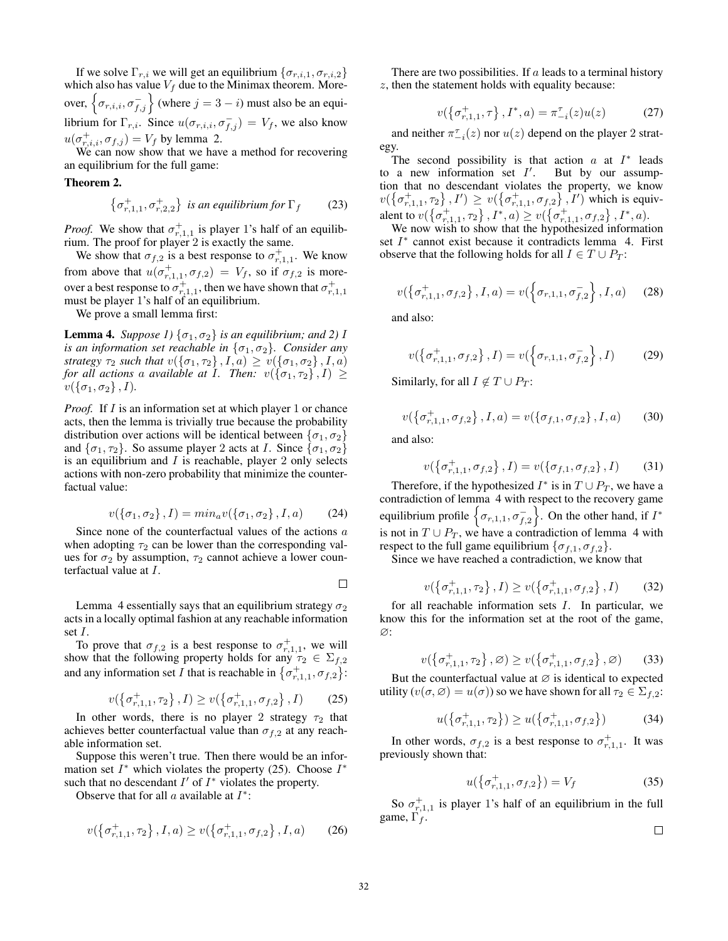If we solve  $\Gamma_{r,i}$  we will get an equilibrium  $\{\sigma_{r,i,1}, \sigma_{r,i,2}\}\$ which also has value  $V_f$  due to the Minimax theorem. Moreover,  $\left\{ \sigma_{r,i,i}, \sigma_{f,j}^{-} \right\}$  (where  $j = 3 - i$ ) must also be an equilibrium for  $\Gamma_{r,i}$ . Since  $u(\sigma_{r,i,i}, \sigma_{f,j}^{-}) = V_f$ , we also know  $u(\sigma_{r,i,i}^+, \sigma_{f,j}) = V_f$  by lemma 2.

We can now show that we have a method for recovering an equilibrium for the full game:

### Theorem 2.

$$
\left\{\sigma_{r,1,1}^+, \sigma_{r,2,2}^+\right\} \text{ is an equilibrium for } \Gamma_f \qquad (23)
$$

*Proof.* We show that  $\sigma_{r,1,1}^+$  is player 1's half of an equilibrium. The proof for player 2 is exactly the same.

We show that  $\sigma_{f,2}$  is a best response to  $\sigma_{r,1,1}^+$ . We know from above that  $u(\sigma_{r,1,1}^+, \sigma_{f,2}) = V_f$ , so if  $\sigma_{f,2}$  is moreover a best response to  $\sigma^+_{r,1,1}$ , then we have shown that  $\sigma^+_{r,1,1}$ must be player 1's half of an equilibrium.

We prove a small lemma first:

**Lemma 4.** *Suppose 1*)  $\{\sigma_1, \sigma_2\}$  *is an equilibrium; and 2) I is an information set reachable in*  $\{\sigma_1, \sigma_2\}$ *. Consider any strategy*  $\tau_2$  *such that*  $v(\{\sigma_1, \tau_2\}, I, a) \ge v(\{\sigma_1, \sigma_2\}, I, a)$ *for all actions a available at I. Then:*  $v(\lbrace \sigma_1, \tau_2 \rbrace, I) \geq$  $v(\{\sigma_1,\sigma_2\},I)$ .

*Proof.* If I is an information set at which player 1 or chance acts, then the lemma is trivially true because the probability distribution over actions will be identical between  $\{\sigma_1, \sigma_2\}$ and  $\{\sigma_1, \tau_2\}$ . So assume player 2 acts at *I*. Since  $\{\sigma_1, \sigma_2\}$ is an equilibrium and  $I$  is reachable, player 2 only selects actions with non-zero probability that minimize the counterfactual value:

$$
v(\{\sigma_1, \sigma_2\}, I) = \min_a v(\{\sigma_1, \sigma_2\}, I, a) \tag{24}
$$

Since none of the counterfactual values of the actions a when adopting  $\tau_2$  can be lower than the corresponding values for  $\sigma_2$  by assumption,  $\tau_2$  cannot achieve a lower counterfactual value at I.

 $\Box$ 

Lemma 4 essentially says that an equilibrium strategy  $\sigma_2$ acts in a locally optimal fashion at any reachable information set I.

To prove that  $\sigma_{f,2}$  is a best response to  $\sigma_{r,1,1}^+$ , we will show that the following property holds for any  $\tau_2 \in \Sigma_{f,2}$ and any information set I that is reachable in  $\{\sigma_{r,1,1}^+, \sigma_{f,2}\}$ :

$$
v(\{\sigma_{r,1,1}^+, \tau_2\}, I) \ge v(\{\sigma_{r,1,1}^+, \sigma_{f,2}\}, I) \qquad (25)
$$

In other words, there is no player 2 strategy  $\tau_2$  that achieves better counterfactual value than  $\sigma_{f,2}$  at any reachable information set.

Suppose this weren't true. Then there would be an information set  $I^*$  which violates the property (25). Choose  $I^*$ such that no descendant  $I'$  of  $I^*$  violates the property.

Observe that for all  $a$  available at  $I^*$ :

$$
v(\{\sigma_{r,1,1}^+, \tau_2\}, I, a) \ge v(\{\sigma_{r,1,1}^+, \sigma_{f,2}\}, I, a)
$$
 (26)

There are two possibilities. If  $a$  leads to a terminal history  $z$ , then the statement holds with equality because:

$$
v(\{\sigma_{r,1,1}^+, \tau\}, I^*, a) = \pi_{-i}^{\tau}(z)u(z) \tag{27}
$$

and neither  $\pi_{-i}^{\tau}(z)$  nor  $u(z)$  depend on the player 2 strategy.

The second possibility is that action  $a$  at  $I^*$  leads to a new information set  $I'$ . But by our assumption that no descendant violates the property, we know  $v(\{\sigma_{r,1,1}^+, \tau_2\}, I') \geq v(\{\sigma_{r,1,1}^+, \sigma_{f,2}\}, I')$  which is equivalent to  $v(\{\sigma_{r,1,1}^+, \tau_2\}, I^*, a) \ge v(\{\sigma_{r,1,1}^+, \sigma_{f,2}\}, I^*, a)$ .

We now wish to show that the hypothesized information set  $I^*$  cannot exist because it contradicts lemma 4. First observe that the following holds for all  $I \in T \cup P_T$ :

$$
v(\{\sigma_{r,1,1}^+, \sigma_{f,2}\}, I, a) = v(\{\sigma_{r,1,1}, \sigma_{f,2}^-\}, I, a) \quad (28)
$$

and also:

$$
v(\{\sigma_{r,1,1}^+, \sigma_{f,2}\}, I) = v(\{\sigma_{r,1,1}, \sigma_{f,2}^-\}, I) \tag{29}
$$

Similarly, for all  $I \notin T \cup P_T$ :

$$
v(\{\sigma_{r,1,1}^+, \sigma_{f,2}\}, I, a) = v(\{\sigma_{f,1}, \sigma_{f,2}\}, I, a)
$$
 (30)

and also:

$$
v(\{\sigma_{r,1,1}^+, \sigma_{f,2}\}, I) = v(\{\sigma_{f,1}, \sigma_{f,2}\}, I) \tag{31}
$$

Therefore, if the hypothesized  $I^*$  is in  $T \cup P_T$ , we have a contradiction of lemma 4 with respect to the recovery game equilibrium profile  $\left\{ \sigma_{r,1,1}, \sigma_{f,2}^{-} \right\}$ . On the other hand, if  $I^*$ is not in  $T \cup P_T$ , we have a contradiction of lemma 4 with respect to the full game equilibrium  $\{\sigma_{f,1}, \sigma_{f,2}\}.$ 

Since we have reached a contradiction, we know that

$$
v(\{\sigma_{r,1,1}^+, \tau_2\}, I) \ge v(\{\sigma_{r,1,1}^+, \sigma_{f,2}\}, I) \tag{32}
$$

for all reachable information sets  $I$ . In particular, we know this for the information set at the root of the game, ∅:

$$
v(\{\sigma_{r,1,1}^+, \tau_2\}, \varnothing) \ge v(\{\sigma_{r,1,1}^+, \sigma_{f,2}\}, \varnothing) \qquad (33)
$$

But the counterfactual value at  $\varnothing$  is identical to expected utility  $(v(\sigma, \varnothing) = u(\sigma))$  so we have shown for all  $\tau_2 \in \Sigma_{f,2}$ :

$$
u(\{\sigma_{r,1,1}^+, \tau_2\}) \ge u(\{\sigma_{r,1,1}^+, \sigma_{f,2}\})
$$
 (34)

In other words,  $\sigma_{f,2}$  is a best response to  $\sigma_{r,1,1}^+$ . It was previously shown that:

$$
u(\{\sigma_{r,1,1}^+, \sigma_{f,2}\}) = V_f \tag{35}
$$

So  $\sigma_{r,1,1}^+$  is player 1's half of an equilibrium in the full game,  $\Gamma_f$ .

$$
\Box
$$